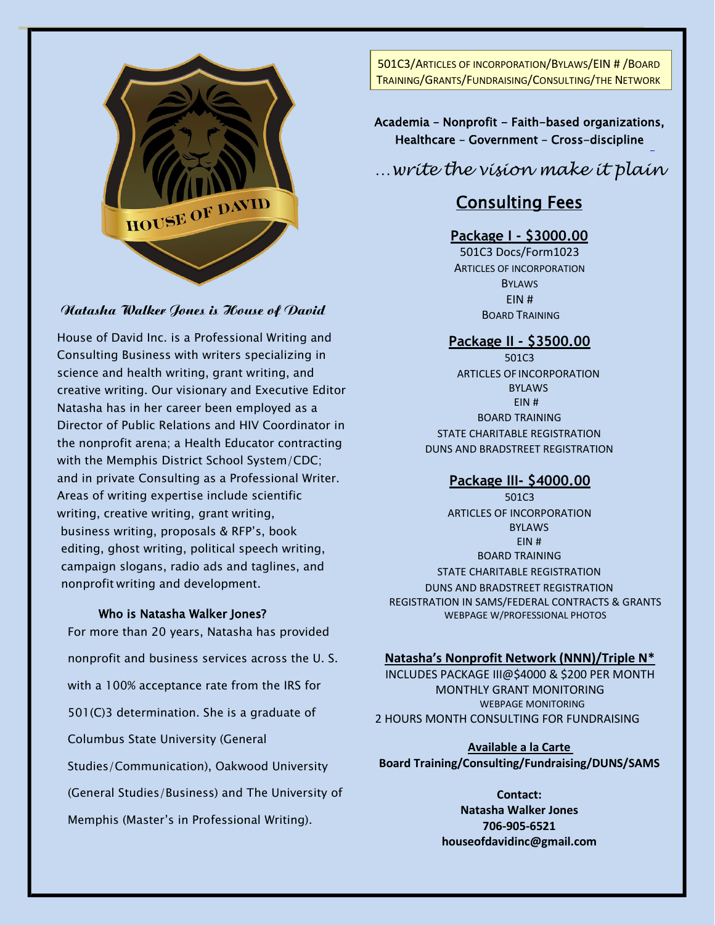

#### Natasha Walker Jones is House of David

House of David Inc. is a Professional Writing and Consulting Business with writers specializing in science and health writing, grant writing, and creative writing. Our visionary and Executive Editor Natasha has in her career been employed as a Director of Public Relations and HIV Coordinator in the nonprofit arena; a Health Educator contracting with the Memphis District School System/CDC; and in private Consulting as a Professional Writer. Areas of writing expertise include scientific writing, creative writing, grant writing, business writing, proposals & RFP's, book editing, ghost writing, political speech writing, campaign slogans, radio ads and taglines, and nonprofit writing and development.

#### Who is Natasha Walker Jones?

For more than 20 years, Natasha has provided nonprofit and business services across the U. S. with a 100% acceptance rate from the IRS for 501(C)3 determination. She is a graduate of Columbus State University (General Studies/Communication), Oakwood University (General Studies/Business) and The University of Memphis (Master's in Professional Writing).

501C3/ARTICLES OF INCORPORATION/BYLAWS/EIN # /BOARD TRAINING/GRANTS/FUNDRAISING/CONSULTING/THE NETWORK

Academia - Nonprofit - Faith-based organizations, Healthcare – Government – Cross-discipline

*…write the vision make it plain*

# Consulting Fees

## **Package I - \$3000.00**

501C3 Docs/Form1023 ARTICLES OF INCORPORATION **BYLAWS** EIN # BOARD TRAINING

#### **Package II - \$3500.00**

501C3 ARTICLES OF INCORPORATION BYLAWS EIN # BOARD TRAINING STATE CHARITABLE REGISTRATION DUNS AND BRADSTREET REGISTRATION

## **Package III- \$4000.00**

501C3 ARTICLES OF INCORPORATION BYLAWS EIN # BOARD TRAINING STATE CHARITABLE REGISTRATION DUNS AND BRADSTREET REGISTRATION REGISTRATION IN SAMS/FEDERAL CONTRACTS & GRANTS WEBPAGE W/PROFESSIONAL PHOTOS

#### **Natasha's Nonprofit Network (NNN)/Triple N\***

INCLUDES PACKAGE III@\$4000 & \$200 PER MONTH MONTHLY GRANT MONITORING WEBPAGE MONITORING 2 HOURS MONTH CONSULTING FOR FUNDRAISING

**Available a la Carte Board Training/Consulting/Fundraising/DUNS/SAMS**

> **Contact: Natasha Walker Jones 706-905-6521 houseofdavidinc@gmail.com**